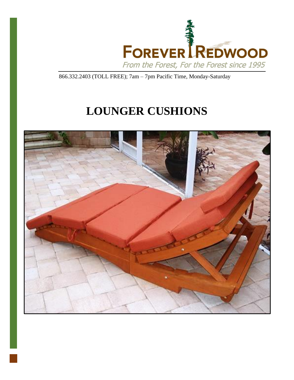

866.332.2403 (TOLL FREE); 7am – 7pm Pacific Time, Monday-Saturday

# **LOUNGER CUSHIONS**

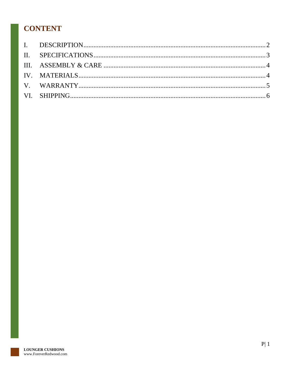## **CONTENT**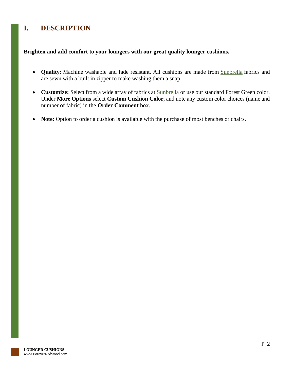### <span id="page-2-0"></span>**I. DESCRIPTION**

#### **Brighten and add comfort to your loungers with our great quality lounger cushions.**

- Quality: Machine washable and fade resistant. All cushions are made from **[Sunbrella](http://www.outdoorfabriccentral.com/)** fabrics and are sewn with a built in zipper to make washing them a snap.
- **Customize:** Select from a wide array of fabrics at [Sunbrella](http://www.outdoorfabriccentral.com/) or use our standard Forest Green color. Under **More Options** select **Custom Cushion Color**, and note any custom color choices (name and number of fabric) in the **Order Comment** box.
- **Note:** Option to order a cushion is available with the purchase of most benches or chairs.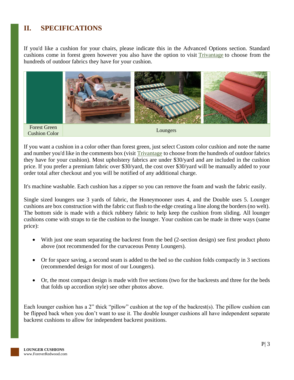### <span id="page-3-0"></span>**II. SPECIFICATIONS**

If you'd like a cushion for your chairs, please indicate this in the Advanced Options section. Standard cushions come in forest green however you also have the option to visit [Trivantage](https://www.trivantage.com/fabric-upholstery) to choose from the hundreds of outdoor fabrics they have for your cushion.



If you want a cushion in a color other than forest green, just select Custom color cushion and note the name and number you'd like in the comments box (visit [Trivantage](https://www.trivantage.com/fabric-upholstery) to choose from the hundreds of outdoor fabrics they have for your cushion). Most upholstery fabrics are under \$30/yard and are included in the cushion price. If you prefer a premium fabric over \$30/yard, the cost over \$30/yard will be manually added to your order total after checkout and you will be notified of any additional charge.

It's machine washable. Each cushion has a zipper so you can remove the foam and wash the fabric easily.

Single sized loungers use 3 yards of fabric, the Honeymooner uses 4, and the Double uses 5. Lounger cushions are box construction with the fabric cut flush to the edge creating a line along the borders (no welt). The bottom side is made with a thick rubbery fabric to help keep the cushion from sliding. All lounger cushions come with straps to tie the cushion to the lounger. Your cushion can be made in three ways (same price):

- With just one seam separating the backrest from the bed (2-section design) see first product photo above (not recommended for the curvaceous Penny Loungers).
- Or for space saving, a second seam is added to the bed so the cushion folds compactly in 3 sections (recommended design for most of our Loungers).
- Or, the most compact design is made with five sections (two for the backrests and three for the beds that folds up accordion style) see other photos above.

Each lounger cushion has a 2" thick "pillow" cushion at the top of the backrest(s). The pillow cushion can be flipped back when you don't want to use it. The double lounger cushions all have independent separate backrest cushions to allow for independent backrest positions.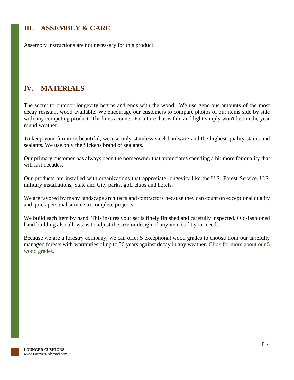### <span id="page-4-0"></span>**III. ASSEMBLY & CARE**

Assembly instructions are not necessary for this product.

### <span id="page-4-1"></span>**IV. MATERIALS**

The secret to outdoor longevity begins and ends with the wood. We use generous amounts of the most decay resistant wood available. We encourage our customers to compare photos of our items side by side with any competing product. Thickness counts. Furniture that is thin and light simply won't last in the year round weather.

To keep your furniture beautiful, we use only stainless steel hardware and the highest quality stains and sealants. We use only the Sickens brand of sealants.

Our primary customer has always been the homeowner that appreciates spending a bit more for quality that will last decades.

Our products are installed with organizations that appreciate longevity like the U.S. Forest Service, U.S. military installations, State and City parks, golf clubs and hotels.

We are favored by many landscape architects and contractors because they can count on exceptional quality and quick personal service to complete projects.

We build each item by hand. This insures your set is finely finished and carefully inspected. Old-fashioned hand building also allows us to adjust the size or design of any item to fit your needs.

Because we are a forestry company, we can offer 5 exceptional wood grades to choose from our carefully managed forests with warranties of up to 30 years against decay in any weather. Click for more about our 5 [wood grades.](https://www.foreverredwood.com/redwood-furniture/wood-grade/)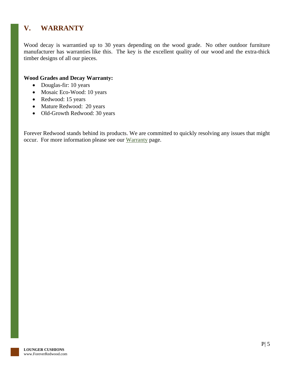### <span id="page-5-0"></span>**V. WARRANTY**

Wood decay is warrantied up to 30 years depending on the wood grade. No other outdoor furniture manufacturer has warranties like this. The key is the excellent quality of our wood and the extra-thick timber designs of all our pieces.

#### **Wood Grades and Decay Warranty:**

- Douglas-fir: 10 years
- Mosaic Eco-Wood: 10 years
- Redwood: 15 years
- Mature Redwood: 20 years
- Old-Growth Redwood: 30 years

Forever Redwood stands behind its products. We are committed to quickly resolving any issues that might occur. For more information please see our [Warranty](https://www.foreverredwood.com/redwood-furniture/warranty) page.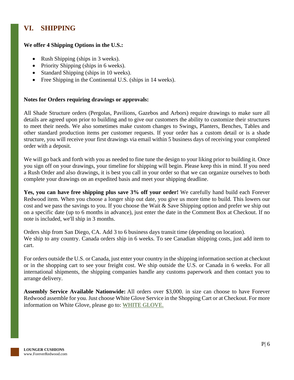### <span id="page-6-0"></span>**VI. SHIPPING**

#### **We offer 4 Shipping Options in the U.S.:**

- Rush Shipping (ships in 3 weeks).
- Priority Shipping (ships in 6 weeks).
- Standard Shipping (ships in 10 weeks).
- Free Shipping in the Continental U.S. (ships in 14 weeks).

#### **Notes for Orders requiring drawings or approvals:**

All Shade Structure orders (Pergolas, Pavilions, Gazebos and Arbors) require drawings to make sure all details are agreed upon prior to building and to give our customers the ability to customize their structures to meet their needs. We also sometimes make custom changes to Swings, Planters, Benches, Tables and other standard production items per customer requests. If your order has a custom detail or is a shade structure, you will receive your first drawings via email within 5 business days of receiving your completed order with a deposit.

We will go back and forth with you as needed to fine tune the design to your liking prior to building it. Once you sign off on your drawings, your timeline for shipping will begin. Please keep this in mind. If you need a Rush Order and also drawings, it is best you call in your order so that we can organize ourselves to both complete your drawings on an expedited basis and meet your shipping deadline.

**Yes, you can have free shipping plus save 3% off your order!** We carefully hand build each Forever Redwood item. When you choose a longer ship out date, you give us more time to build. This lowers our cost and we pass the savings to you. If you choose the Wait & Save Shipping option and prefer we ship out on a specific date (up to 6 months in advance), just enter the date in the Comment Box at Checkout. If no note is included, we'll ship in 3 months.

Orders ship from San Diego, CA. Add 3 to 6 business days transit time (depending on location). We ship to any country. Canada orders ship in 6 weeks. To see Canadian shipping costs, just add item to cart.

For orders outside the U.S. or Canada, just enter your country in the shipping information section at checkout or in the shopping cart to see your freight cost. We ship outside the U.S. or Canada in 6 weeks. For all international shipments, the shipping companies handle any customs paperwork and then contact you to arrange delivery.

**Assembly Service Available Nationwide:** All orders over \$3,000. in size can choose to have Forever Redwood assemble for you. Just choose White Glove Service in the Shopping Cart or at Checkout. For more information on White Glove, please go to: [WHITE GLOVE.](https://www.foreverredwood.com/white-glove/)